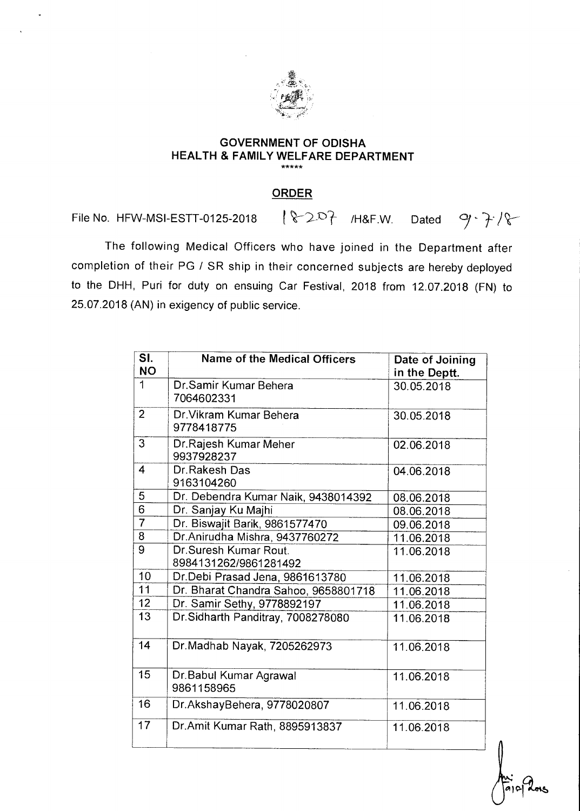

## **GOVERNMENT OF ODISHA HEALTH & FAMILY WELFARE DEPARTMENT**

## **ORDER**

File No. HFW-MSI-ESTT-0125-2018  $\sqrt{2Q}$  /H&F.W. Dated  $9 - 7.18$ 

The following Medical Officers who have joined in the Department after completion of their PG / SR ship in their concerned subjects are hereby deployed to the DHH, Puri for duty on ensuing Car Festival, 2018 from 12.07.2018 (FN) to 25.07.2018 (AN) in exigency of public service.

| $\overline{\mathsf{SL}}$ | <b>Name of the Medical Officers</b>            | Date of Joining |
|--------------------------|------------------------------------------------|-----------------|
| <b>NO</b>                |                                                | in the Deptt.   |
| 1                        | Dr.Samir Kumar Behera<br>7064602331            | 30.05.2018      |
| $\overline{2}$           | Dr. Vikram Kumar Behera<br>9778418775          | 30.05.2018      |
| 3                        | Dr.Rajesh Kumar Meher<br>9937928237            | 02.06.2018      |
| 4                        | Dr.Rakesh Das<br>9163104260                    | 04.06.2018      |
| 5                        | Dr. Debendra Kumar Naik, 9438014392            | 08.06.2018      |
| $\overline{6}$           | Dr. Sanjay Ku Majhi                            | 08.06.2018      |
| $\overline{7}$           | Dr. Biswajit Barik, 9861577470                 | 09.06.2018      |
| $\overline{8}$           | Dr.Anirudha Mishra, 9437760272                 | 11.06.2018      |
| $\overline{9}$           | Dr.Suresh Kumar Rout.<br>8984131262/9861281492 | 11.06.2018      |
| 10                       | Dr.Debi Prasad Jena, 9861613780                | 11.06.2018      |
| 11                       | Dr. Bharat Chandra Sahoo, 9658801718           | 11.06.2018      |
| 12                       | Dr. Samir Sethy, 9778892197                    | 11.06.2018      |
| $\overline{13}$          | Dr. Sidharth Panditray, 7008278080             | 11.06.2018      |
| 14                       | Dr.Madhab Nayak, 7205262973                    | 11.06.2018      |
| 15                       | Dr. Babul Kumar Agrawal<br>9861158965          | 11.06.2018      |
| 16                       | Dr.AkshayBehera, 9778020807                    | 11.06.2018      |
| 17                       | Dr.Amit Kumar Rath, 8895913837                 | 11.06.2018      |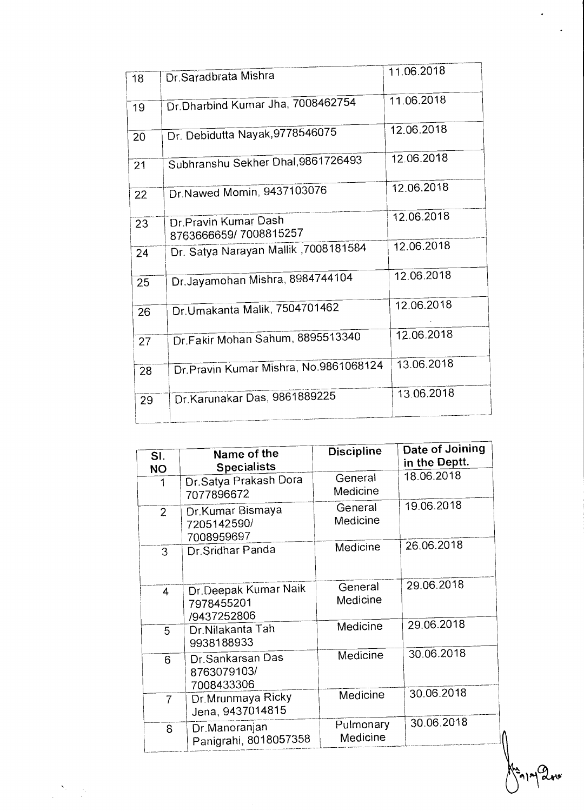| 18 | Dr.Saradbrata Mishra                           | 11.06.2018 |
|----|------------------------------------------------|------------|
| 19 | Dr.Dharbind Kumar Jha, 7008462754              | 11.06.2018 |
| 20 | Dr. Debidutta Nayak, 9778546075                | 12.06.2018 |
| 21 | Subhranshu Sekher Dhal, 9861726493             | 12.06.2018 |
| 22 | Dr.Nawed Momin, 9437103076                     | 12.06.2018 |
| 23 | Dr. Pravin Kumar Dash<br>8763666659/7008815257 | 12.06.2018 |
| 24 | Dr. Satya Narayan Mallik , 7008181584          | 12.06.2018 |
| 25 | Dr.Jayamohan Mishra, 8984744104                | 12.06.2018 |
| 26 | Dr.Umakanta Malik, 7504701462                  | 12.06.2018 |
| 27 | Dr.Fakir Mohan Sahum, 8895513340               | 12.06.2018 |
| 28 | Dr.Pravin Kumar Mishra, No.9861068124          | 13.06.2018 |
| 29 | Dr. Karunakar Das, 9861889225                  | 13.06.2018 |
|    |                                                |            |

| SI.<br><b>NO</b> | Name of the<br><b>Specialists</b>                 | <b>Discipline</b>     | Date of Joining<br>in the Deptt. |
|------------------|---------------------------------------------------|-----------------------|----------------------------------|
| 1                | Dr.Satya Prakash Dora<br>7077896672               | General<br>Medicine   | 18.06.2018                       |
| $\overline{2}$   | Dr. Kumar Bismaya<br>7205142590/<br>7008959697    | General<br>Medicine   | 19.06.2018                       |
| 3                | Dr.Sridhar Panda                                  | Medicine              | 26.06.2018                       |
| 4                | Dr.Deepak Kumar Naik<br>7978455201<br>/9437252806 | General<br>Medicine   | 29.06.2018                       |
| 5                | Dr.Nilakanta Tah<br>9938188933                    | Medicine              | 29.06.2018                       |
| 6                | Dr.Sankarsan Das<br>8763079103/<br>7008433306     | Medicine              | 30.06.2018                       |
| $\overline{7}$   | Dr. Mrunmaya Ricky<br>Jena, 9437014815            | Medicine              | 30.06.2018                       |
| 8                | Dr.Manoranjan<br>Panigrahi, 8018057358            | Pulmonary<br>Medicine | 30.06.2018                       |

 $\Sigma_{\rm{eff}}$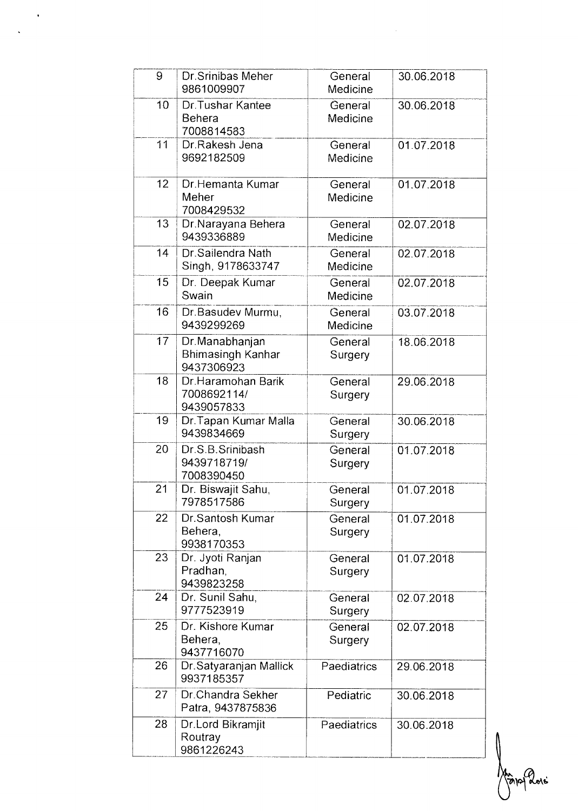| 9  | Dr. Srinibas Meher<br>9861009907                         | General<br>Medicine | 30.06.2018 |
|----|----------------------------------------------------------|---------------------|------------|
| 10 | Dr. Tushar Kantee<br><b>Behera</b><br>7008814583         | General<br>Medicine | 30.06.2018 |
| 11 | Dr.Rakesh Jena<br>9692182509                             | General<br>Medicine | 01.07.2018 |
| 12 | Dr.Hemanta Kumar<br>Meher<br>7008429532                  | General<br>Medicine | 01.07.2018 |
| 13 | Dr.Narayana Behera<br>9439336889                         | General<br>Medicine | 02.07.2018 |
| 14 | Dr.Sailendra Nath<br>Singh, 9178633747                   | General<br>Medicine | 02.07.2018 |
| 15 | Dr. Deepak Kumar<br>Swain                                | General<br>Medicine | 02.07.2018 |
| 16 | Dr.Basudev Murmu,<br>9439299269                          | General<br>Medicine | 03.07.2018 |
| 17 | Dr.Manabhanjan<br><b>Bhimasingh Kanhar</b><br>9437306923 | General<br>Surgery  | 18.06.2018 |
| 18 | Dr.Haramohan Barik<br>7008692114/<br>9439057833          | General<br>Surgery  | 29.06.2018 |
| 19 | Dr. Tapan Kumar Malla<br>9439834669                      | General<br>Surgery  | 30.06.2018 |
| 20 | Dr.S.B.Srinibash<br>9439718719/<br>7008390450            | General<br>Surgery  | 01.07.2018 |
| 21 | Dr. Biswajit Sahu,<br>7978517586                         | General<br>Surgery  | 01.07.2018 |
| 22 | Dr.Santosh Kumar<br>Behera,<br>9938170353                | General<br>Surgery  | 01.07.2018 |
| 23 | Dr. Jyoti Ranjan<br>Pradhan,<br>9439823258               | General<br>Surgery  | 01.07.2018 |
| 24 | Dr. Sunil Sahu,<br>9777523919                            | General<br>Surgery  | 02.07.2018 |
| 25 | Dr. Kishore Kumar<br>Behera,<br>9437716070               | General<br>Surgery  | 02.07.2018 |
| 26 | Dr. Satyaranjan Mallick<br>9937185357                    | Paediatrics         | 29.06.2018 |
| 27 | Dr.Chandra Sekher<br>Patra, 9437875836                   | Pediatric           | 30.06.2018 |
| 28 | Dr.Lord Bikramjit<br>Routray<br>9861226243               | Paediatrics         | 30.06.2018 |

 $\hat{\mathcal{A}}$ 

Mangland

 $\frac{1}{\sqrt{2\pi}}\sum_{i=1}^{n} \frac{1}{i\omega_i} \left(\frac{1}{\omega_i}\right)^2$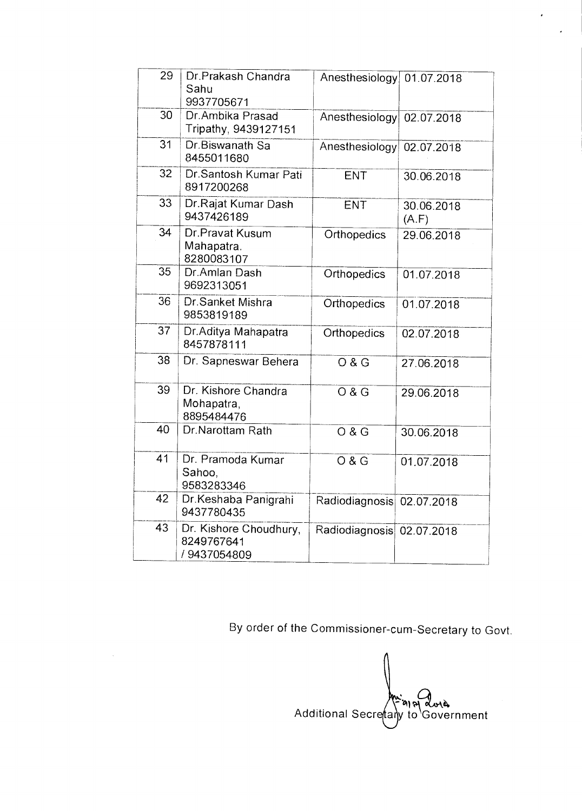| 29              | Dr.Prakash Chandra<br>Sahu<br>9937705671            | Anesthesiology 01.07.2018 |                     |
|-----------------|-----------------------------------------------------|---------------------------|---------------------|
| 30              | Dr.Ambika Prasad<br>Tripathy, 9439127151            | Anesthesiology            | 02.07.2018          |
| $\overline{31}$ | Dr.Biswanath Sa<br>8455011680                       | Anesthesiology            | 02.07.2018          |
| 32              | Dr.Santosh Kumar Pati<br>8917200268                 | ENT                       | 30.06.2018          |
| 33              | Dr.Rajat Kumar Dash<br>9437426189                   | ENT                       | 30.06.2018<br>(A.F) |
| 34              | Dr.Pravat Kusum<br>Mahapatra.<br>8280083107         | Orthopedics               | 29.06.2018          |
| 35              | Dr.Amlan Dash<br>9692313051                         | Orthopedics               | 01.07.2018          |
| 36              | Dr.Sanket Mishra<br>9853819189                      | Orthopedics               | 01.07.2018          |
| 37              | Dr.Aditya Mahapatra<br>8457878111                   | Orthopedics               | 02.07.2018          |
| 38              | Dr. Sapneswar Behera                                | $\overline{O & G}$        | 27.06.2018          |
| 39              | Dr. Kishore Chandra<br>Mohapatra,<br>8895484476     | O & G                     | 29.06.2018          |
| 40              | Dr.Narottam Rath                                    | O & G                     | 30.06.2018          |
| 41              | Dr. Pramoda Kumar<br>Sahoo,<br>9583283346           | O & G                     | 01.07.2018          |
| 42              | Dr.Keshaba Panigrahi<br>9437780435                  | Radiodiagnosis            | 02.07.2018          |
| 43              | Dr. Kishore Choudhury,<br>8249767641<br>/9437054809 | Radiodiagnosis 02.07.2018 |                     |

By order of the Commissioner-cum-Secretary to Govt.

بر<br>أ Additional Secretaly to Government